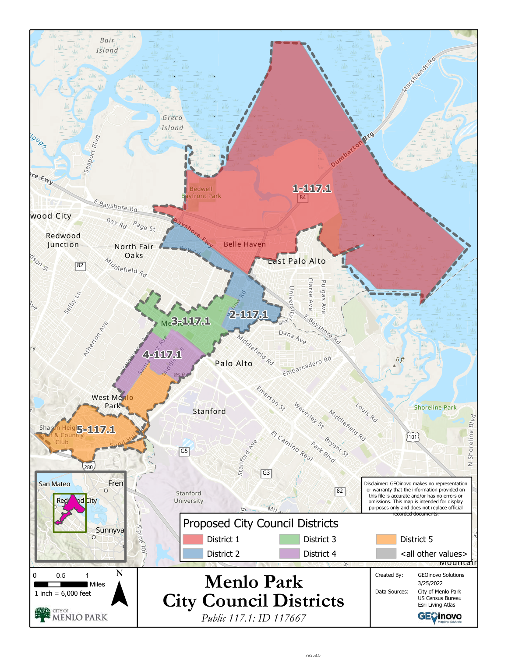